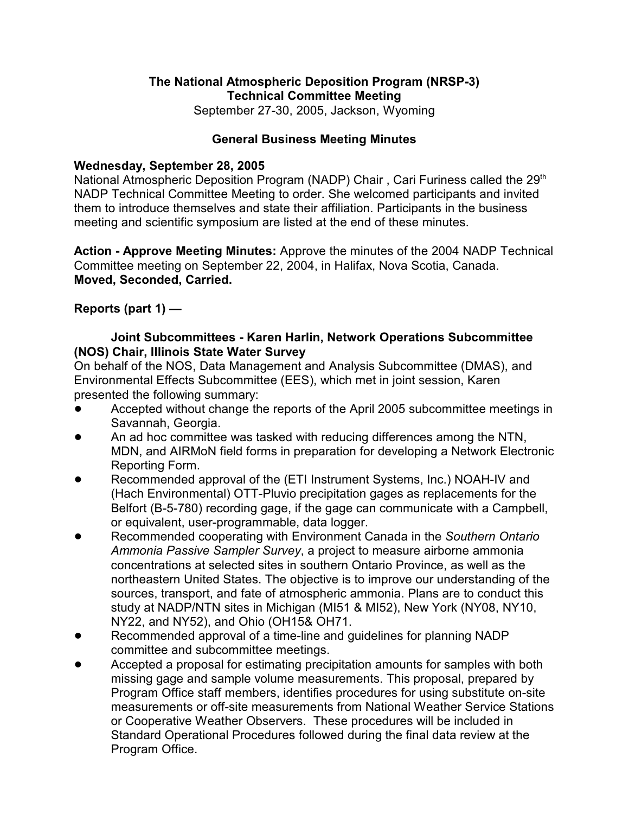## **The National Atmospheric Deposition Program (NRSP-3) Technical Committee Meeting**

September 27-30, 2005, Jackson, Wyoming

### **General Business Meeting Minutes**

#### **Wednesday, September 28, 2005**

National Atmospheric Deposition Program (NADP) Chair, Cari Furiness called the 29<sup>th</sup> NADP Technical Committee Meeting to order. She welcomed participants and invited them to introduce themselves and state their affiliation. Participants in the business meeting and scientific symposium are listed at the end of these minutes.

**Action - Approve Meeting Minutes:** Approve the minutes of the 2004 NADP Technical Committee meeting on September 22, 2004, in Halifax, Nova Scotia, Canada. **Moved, Seconded, Carried.**

### **Reports (part 1) —**

### **Joint Subcommittees - Karen Harlin, Network Operations Subcommittee (NOS) Chair, Illinois State Water Survey**

On behalf of the NOS, Data Management and Analysis Subcommittee (DMAS), and Environmental Effects Subcommittee (EES), which met in joint session, Karen presented the following summary:

- Accepted without change the reports of the April 2005 subcommittee meetings in Savannah, Georgia.
- ! An ad hoc committee was tasked with reducing differences among the NTN, MDN, and AIRMoN field forms in preparation for developing a Network Electronic Reporting Form.
- Recommended approval of the (ETI Instrument Systems, Inc.) NOAH-IV and (Hach Environmental) OTT-Pluvio precipitation gages as replacements for the Belfort (B-5-780) recording gage, if the gage can communicate with a Campbell, or equivalent, user-programmable, data logger.
- ! Recommended cooperating with Environment Canada in the *Southern Ontario Ammonia Passive Sampler Survey*, a project to measure airborne ammonia concentrations at selected sites in southern Ontario Province, as well as the northeastern United States. The objective is to improve our understanding of the sources, transport, and fate of atmospheric ammonia. Plans are to conduct this study at NADP/NTN sites in Michigan (MI51 & MI52), New York (NY08, NY10, NY22, and NY52), and Ohio (OH15& OH71.
- Recommended approval of a time-line and guidelines for planning NADP committee and subcommittee meetings.
- Accepted a proposal for estimating precipitation amounts for samples with both missing gage and sample volume measurements. This proposal, prepared by Program Office staff members, identifies procedures for using substitute on-site measurements or off-site measurements from National Weather Service Stations or Cooperative Weather Observers. These procedures will be included in Standard Operational Procedures followed during the final data review at the Program Office.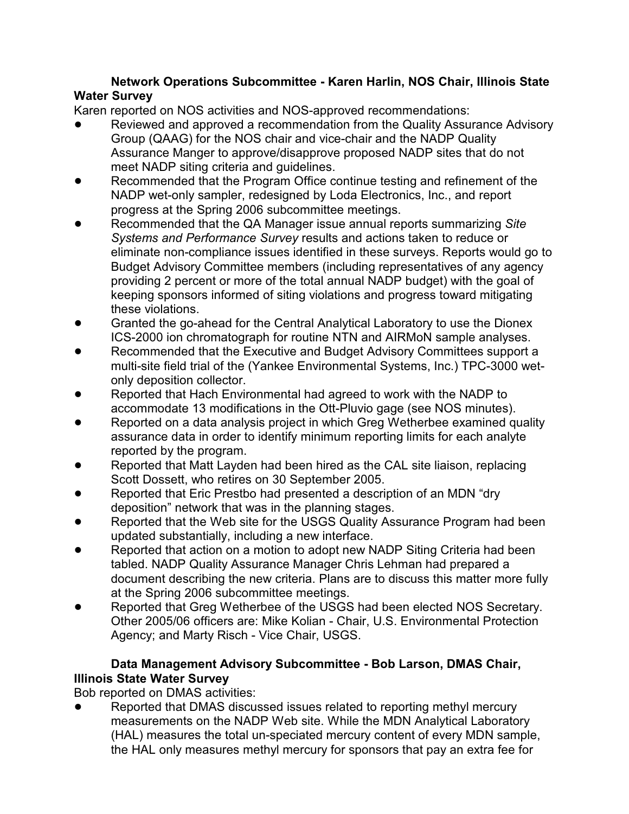## **Network Operations Subcommittee - Karen Harlin, NOS Chair, Illinois State Water Survey**

Karen reported on NOS activities and NOS-approved recommendations:

- Reviewed and approved a recommendation from the Quality Assurance Advisory Group (QAAG) for the NOS chair and vice-chair and the NADP Quality Assurance Manger to approve/disapprove proposed NADP sites that do not meet NADP siting criteria and guidelines.
- Recommended that the Program Office continue testing and refinement of the NADP wet-only sampler, redesigned by Loda Electronics, Inc., and report progress at the Spring 2006 subcommittee meetings.
- ! Recommended that the QA Manager issue annual reports summarizing *Site Systems and Performance Survey* results and actions taken to reduce or eliminate non-compliance issues identified in these surveys. Reports would go to Budget Advisory Committee members (including representatives of any agency providing 2 percent or more of the total annual NADP budget) with the goal of keeping sponsors informed of siting violations and progress toward mitigating these violations.
- ! Granted the go-ahead for the Central Analytical Laboratory to use the Dionex ICS-2000 ion chromatograph for routine NTN and AIRMoN sample analyses.
- Recommended that the Executive and Budget Advisory Committees support a multi-site field trial of the (Yankee Environmental Systems, Inc.) TPC-3000 wetonly deposition collector.
- Reported that Hach Environmental had agreed to work with the NADP to accommodate 13 modifications in the Ott-Pluvio gage (see NOS minutes).
- Reported on a data analysis project in which Greg Wetherbee examined quality assurance data in order to identify minimum reporting limits for each analyte reported by the program.
- Reported that Matt Layden had been hired as the CAL site liaison, replacing Scott Dossett, who retires on 30 September 2005.
- Reported that Eric Prestbo had presented a description of an MDN "dry deposition" network that was in the planning stages.
- Reported that the Web site for the USGS Quality Assurance Program had been updated substantially, including a new interface.
- Reported that action on a motion to adopt new NADP Siting Criteria had been tabled. NADP Quality Assurance Manager Chris Lehman had prepared a document describing the new criteria. Plans are to discuss this matter more fully at the Spring 2006 subcommittee meetings.
- Reported that Greg Wetherbee of the USGS had been elected NOS Secretary. Other 2005/06 officers are: Mike Kolian - Chair, U.S. Environmental Protection Agency; and Marty Risch - Vice Chair, USGS.

## **Data Management Advisory Subcommittee - Bob Larson, DMAS Chair, Illinois State Water Survey**

Bob reported on DMAS activities:

Reported that DMAS discussed issues related to reporting methyl mercury measurements on the NADP Web site. While the MDN Analytical Laboratory (HAL) measures the total un-speciated mercury content of every MDN sample, the HAL only measures methyl mercury for sponsors that pay an extra fee for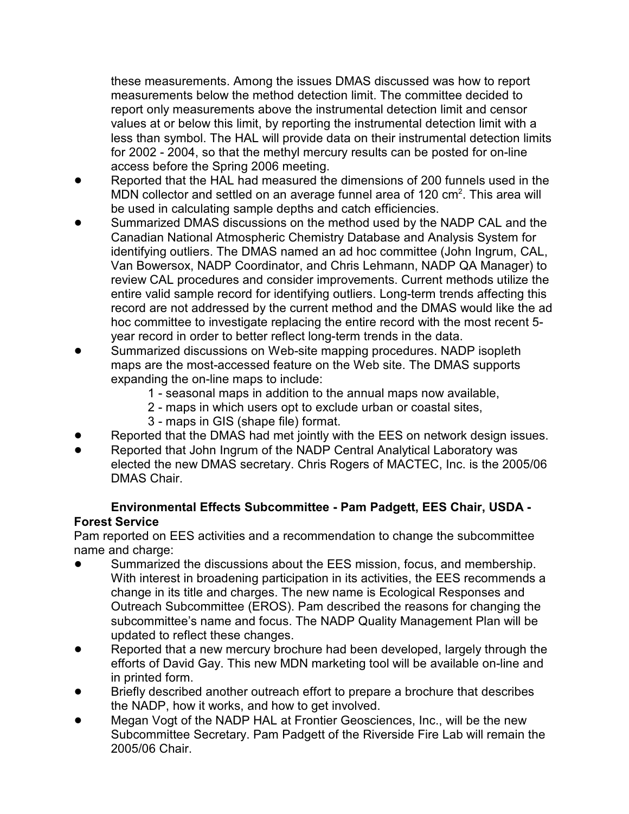these measurements. Among the issues DMAS discussed was how to report measurements below the method detection limit. The committee decided to report only measurements above the instrumental detection limit and censor values at or below this limit, by reporting the instrumental detection limit with a less than symbol. The HAL will provide data on their instrumental detection limits for 2002 - 2004, so that the methyl mercury results can be posted for on-line access before the Spring 2006 meeting.

- Reported that the HAL had measured the dimensions of 200 funnels used in the MDN collector and settled on an average funnel area of 120  $\text{cm}^2$ . This area will be used in calculating sample depths and catch efficiencies.
- Summarized DMAS discussions on the method used by the NADP CAL and the Canadian National Atmospheric Chemistry Database and Analysis System for identifying outliers. The DMAS named an ad hoc committee (John Ingrum, CAL, Van Bowersox, NADP Coordinator, and Chris Lehmann, NADP QA Manager) to review CAL procedures and consider improvements. Current methods utilize the entire valid sample record for identifying outliers. Long-term trends affecting this record are not addressed by the current method and the DMAS would like the ad hoc committee to investigate replacing the entire record with the most recent 5 year record in order to better reflect long-term trends in the data.
- Summarized discussions on Web-site mapping procedures. NADP isopleth maps are the most-accessed feature on the Web site. The DMAS supports expanding the on-line maps to include:
	- 1 seasonal maps in addition to the annual maps now available,
	- 2 maps in which users opt to exclude urban or coastal sites,
		- 3 maps in GIS (shape file) format.
- Reported that the DMAS had met jointly with the EES on network design issues.
- Reported that John Ingrum of the NADP Central Analytical Laboratory was elected the new DMAS secretary. Chris Rogers of MACTEC, Inc. is the 2005/06 DMAS Chair.

## **Environmental Effects Subcommittee - Pam Padgett, EES Chair, USDA - Forest Service**

Pam reported on EES activities and a recommendation to change the subcommittee name and charge:

- Summarized the discussions about the EES mission, focus, and membership. With interest in broadening participation in its activities, the EES recommends a change in its title and charges. The new name is Ecological Responses and Outreach Subcommittee (EROS). Pam described the reasons for changing the subcommittee's name and focus. The NADP Quality Management Plan will be updated to reflect these changes.
- Reported that a new mercury brochure had been developed, largely through the efforts of David Gay. This new MDN marketing tool will be available on-line and in printed form.
- Briefly described another outreach effort to prepare a brochure that describes the NADP, how it works, and how to get involved.
- Megan Vogt of the NADP HAL at Frontier Geosciences, Inc., will be the new Subcommittee Secretary. Pam Padgett of the Riverside Fire Lab will remain the 2005/06 Chair.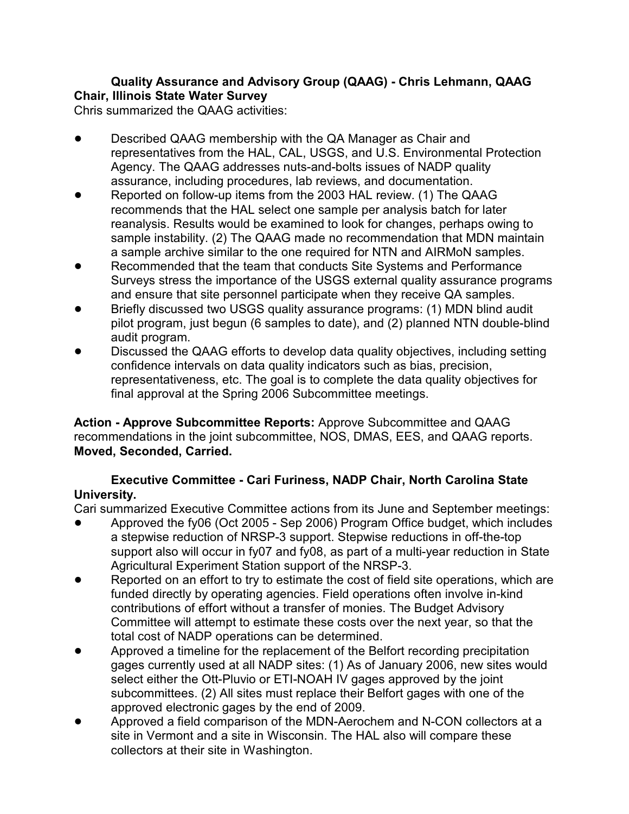### **Quality Assurance and Advisory Group (QAAG) - Chris Lehmann, QAAG Chair, Illinois State Water Survey**

Chris summarized the QAAG activities:

- **Described QAAG membership with the QA Manager as Chair and** representatives from the HAL, CAL, USGS, and U.S. Environmental Protection Agency. The QAAG addresses nuts-and-bolts issues of NADP quality assurance, including procedures, lab reviews, and documentation.
- ! Reported on follow-up items from the 2003 HAL review. (1) The QAAG recommends that the HAL select one sample per analysis batch for later reanalysis. Results would be examined to look for changes, perhaps owing to sample instability. (2) The QAAG made no recommendation that MDN maintain a sample archive similar to the one required for NTN and AIRMoN samples.
- Recommended that the team that conducts Site Systems and Performance Surveys stress the importance of the USGS external quality assurance programs and ensure that site personnel participate when they receive QA samples.
- Briefly discussed two USGS quality assurance programs: (1) MDN blind audit pilot program, just begun (6 samples to date), and (2) planned NTN double-blind audit program.
- Discussed the QAAG efforts to develop data quality objectives, including setting confidence intervals on data quality indicators such as bias, precision, representativeness, etc. The goal is to complete the data quality objectives for final approval at the Spring 2006 Subcommittee meetings.

**Action - Approve Subcommittee Reports:** Approve Subcommittee and QAAG recommendations in the joint subcommittee, NOS, DMAS, EES, and QAAG reports. **Moved, Seconded, Carried.**

# **Executive Committee - Cari Furiness, NADP Chair, North Carolina State University.**

Cari summarized Executive Committee actions from its June and September meetings:

- ! Approved the fy06 (Oct 2005 Sep 2006) Program Office budget, which includes a stepwise reduction of NRSP-3 support. Stepwise reductions in off-the-top support also will occur in fy07 and fy08, as part of a multi-year reduction in State Agricultural Experiment Station support of the NRSP-3.
- Reported on an effort to try to estimate the cost of field site operations, which are funded directly by operating agencies. Field operations often involve in-kind contributions of effort without a transfer of monies. The Budget Advisory Committee will attempt to estimate these costs over the next year, so that the total cost of NADP operations can be determined.
- ! Approved a timeline for the replacement of the Belfort recording precipitation gages currently used at all NADP sites: (1) As of January 2006, new sites would select either the Ott-Pluvio or ETI-NOAH IV gages approved by the joint subcommittees. (2) All sites must replace their Belfort gages with one of the approved electronic gages by the end of 2009.
- Approved a field comparison of the MDN-Aerochem and N-CON collectors at a site in Vermont and a site in Wisconsin. The HAL also will compare these collectors at their site in Washington.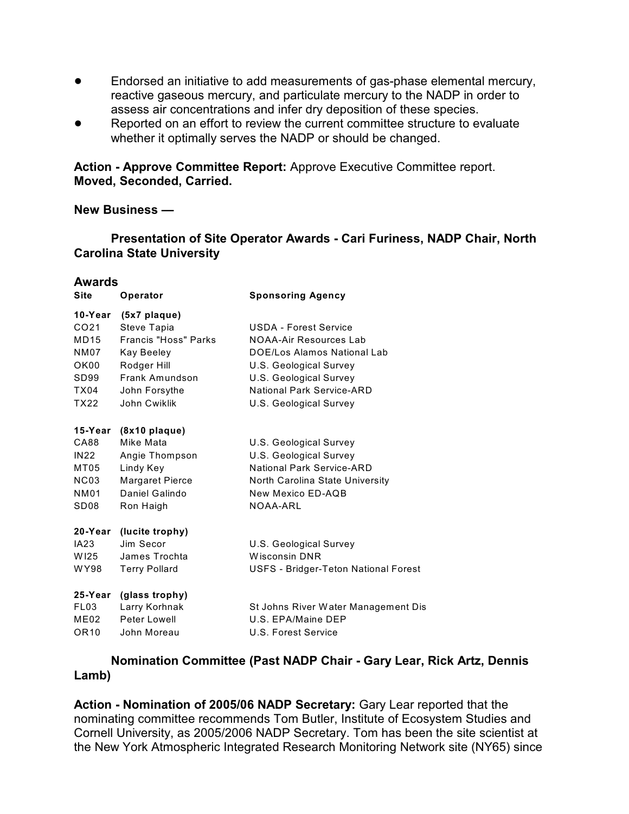- Endorsed an initiative to add measurements of gas-phase elemental mercury, reactive gaseous mercury, and particulate mercury to the NADP in order to assess air concentrations and infer dry deposition of these species.
- Reported on an effort to review the current committee structure to evaluate whether it optimally serves the NADP or should be changed.

**Action - Approve Committee Report:** Approve Executive Committee report. **Moved, Seconded, Carried.**

#### **New Business —**

**Presentation of Site Operator Awards - Cari Furiness, NADP Chair, North Carolina State University**

#### **Awards**

| <b>Site</b>      | Operator               | <b>Sponsoring Agency</b>                    |
|------------------|------------------------|---------------------------------------------|
| 10-Year          | (5x7 plaque)           |                                             |
| CO <sub>21</sub> | Steve Tapia            | <b>USDA - Forest Service</b>                |
| MD15             | Francis "Hoss" Parks   | NOAA-Air Resources Lab                      |
| NM07             | Kay Beeley             | DOE/Los Alamos National Lab                 |
| OK00             | Rodger Hill            | U.S. Geological Survey                      |
| SD <sub>99</sub> | Frank Amundson         | U.S. Geological Survey                      |
| TX04             | John Forsythe          | National Park Service-ARD                   |
| TX22             | John Cwiklik           | U.S. Geological Survey                      |
| 15-Year          | $(8x10$ plaque)        |                                             |
| CA88             | Mike Mata              | U.S. Geological Survey                      |
| <b>IN22</b>      | Angie Thompson         | U.S. Geological Survey                      |
| MT05             | Lindy Key              | National Park Service-ARD                   |
| <b>NC03</b>      | <b>Margaret Pierce</b> | North Carolina State University             |
| <b>NM01</b>      | Daniel Galindo         | New Mexico ED-AQB                           |
| SD <sub>08</sub> | Ron Haigh              | NOAA-ARL                                    |
| 20-Year          | (lucite trophy)        |                                             |
| IA23             | Jim Secor              | U.S. Geological Survey                      |
| W125             | James Trochta          | <b>Wisconsin DNR</b>                        |
| WY98             | <b>Terry Pollard</b>   | <b>USFS - Bridger-Teton National Forest</b> |
| 25-Year          | (glass trophy)         |                                             |
| FL <sub>03</sub> | Larry Korhnak          | St Johns River Water Management Dis         |
| ME02             | Peter Lowell           | U.S. EPA/Maine DEP                          |
| OR <sub>10</sub> | John Moreau            | U.S. Forest Service                         |
|                  |                        |                                             |

**Nomination Committee (Past NADP Chair - Gary Lear, Rick Artz, Dennis Lamb)**

**Action - Nomination of 2005/06 NADP Secretary:** Gary Lear reported that the nominating committee recommends Tom Butler, Institute of Ecosystem Studies and Cornell University, as 2005/2006 NADP Secretary. Tom has been the site scientist at the New York Atmospheric Integrated Research Monitoring Network site (NY65) since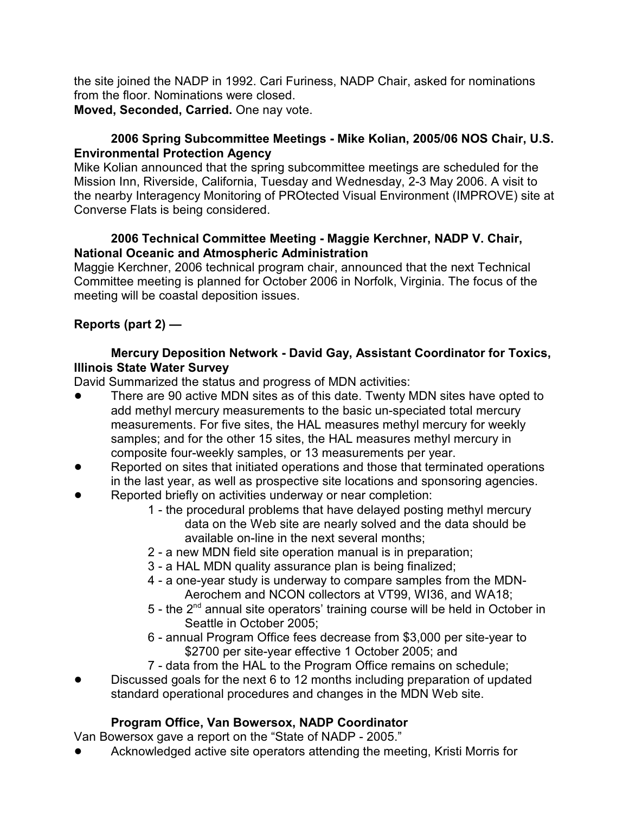the site joined the NADP in 1992. Cari Furiness, NADP Chair, asked for nominations from the floor. Nominations were closed.

**Moved, Seconded, Carried.** One nay vote.

## **2006 Spring Subcommittee Meetings - Mike Kolian, 2005/06 NOS Chair, U.S. Environmental Protection Agency**

Mike Kolian announced that the spring subcommittee meetings are scheduled for the Mission Inn, Riverside, California, Tuesday and Wednesday, 2-3 May 2006. A visit to the nearby Interagency Monitoring of PROtected Visual Environment (IMPROVE) site at Converse Flats is being considered.

## **2006 Technical Committee Meeting - Maggie Kerchner, NADP V. Chair, National Oceanic and Atmospheric Administration**

Maggie Kerchner, 2006 technical program chair, announced that the next Technical Committee meeting is planned for October 2006 in Norfolk, Virginia. The focus of the meeting will be coastal deposition issues.

# **Reports (part 2) —**

## **Mercury Deposition Network - David Gay, Assistant Coordinator for Toxics, Illinois State Water Survey**

David Summarized the status and progress of MDN activities:

- There are 90 active MDN sites as of this date. Twenty MDN sites have opted to add methyl mercury measurements to the basic un-speciated total mercury measurements. For five sites, the HAL measures methyl mercury for weekly samples; and for the other 15 sites, the HAL measures methyl mercury in composite four-weekly samples, or 13 measurements per year.
- Reported on sites that initiated operations and those that terminated operations in the last year, as well as prospective site locations and sponsoring agencies.
- Reported briefly on activities underway or near completion:
	- 1 the procedural problems that have delayed posting methyl mercury data on the Web site are nearly solved and the data should be available on-line in the next several months;
	- 2 a new MDN field site operation manual is in preparation;
	- 3 a HAL MDN quality assurance plan is being finalized;
	- 4 a one-year study is underway to compare samples from the MDN-Aerochem and NCON collectors at VT99, WI36, and WA18;
	- $5$  the  $2<sup>nd</sup>$  annual site operators' training course will be held in October in Seattle in October 2005;
	- 6 annual Program Office fees decrease from \$3,000 per site-year to \$2700 per site-year effective 1 October 2005; and
	- 7 data from the HAL to the Program Office remains on schedule;
- Discussed goals for the next 6 to 12 months including preparation of updated standard operational procedures and changes in the MDN Web site.

# **Program Office, Van Bowersox, NADP Coordinator**

Van Bowersox gave a report on the "State of NADP - 2005."

! Acknowledged active site operators attending the meeting, Kristi Morris for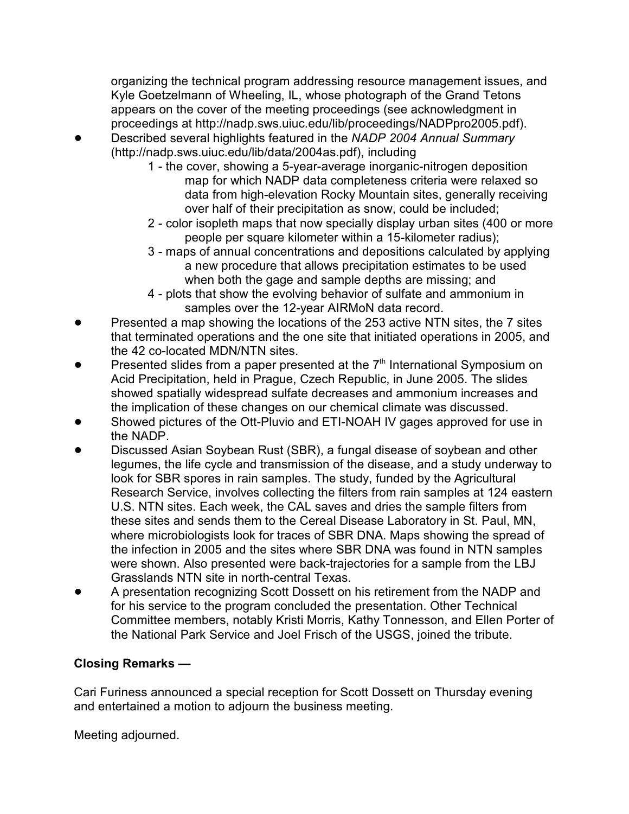organizing the technical program addressing resource management issues, and Kyle Goetzelmann of Wheeling, IL, whose photograph of the Grand Tetons appears on the cover of the meeting proceedings (see acknowledgment in proceedings at http://nadp.sws.uiuc.edu/lib/proceedings/NADPpro2005.pdf).

- ! Described several highlights featured in the *NADP 2004 Annual Summary* (http://nadp.sws.uiuc.edu/lib/data/2004as.pdf), including
	- 1 the cover, showing a 5-year-average inorganic-nitrogen deposition map for which NADP data completeness criteria were relaxed so data from high-elevation Rocky Mountain sites, generally receiving over half of their precipitation as snow, could be included;
	- 2 color isopleth maps that now specially display urban sites (400 or more people per square kilometer within a 15-kilometer radius);
	- 3 maps of annual concentrations and depositions calculated by applying a new procedure that allows precipitation estimates to be used when both the gage and sample depths are missing; and
	- 4 plots that show the evolving behavior of sulfate and ammonium in samples over the 12-year AIRMoN data record.
- Presented a map showing the locations of the 253 active NTN sites, the 7 sites that terminated operations and the one site that initiated operations in 2005, and the 42 co-located MDN/NTN sites.
- Presented slides from a paper presented at the  $7<sup>th</sup>$  International Symposium on Acid Precipitation, held in Prague, Czech Republic, in June 2005. The slides showed spatially widespread sulfate decreases and ammonium increases and the implication of these changes on our chemical climate was discussed.
- Showed pictures of the Ott-Pluvio and ETI-NOAH IV gages approved for use in the NADP.
- Discussed Asian Soybean Rust (SBR), a fungal disease of soybean and other legumes, the life cycle and transmission of the disease, and a study underway to look for SBR spores in rain samples. The study, funded by the Agricultural Research Service, involves collecting the filters from rain samples at 124 eastern U.S. NTN sites. Each week, the CAL saves and dries the sample filters from these sites and sends them to the Cereal Disease Laboratory in St. Paul, MN, where microbiologists look for traces of SBR DNA. Maps showing the spread of the infection in 2005 and the sites where SBR DNA was found in NTN samples were shown. Also presented were back-trajectories for a sample from the LBJ Grasslands NTN site in north-central Texas.
- ! A presentation recognizing Scott Dossett on his retirement from the NADP and for his service to the program concluded the presentation. Other Technical Committee members, notably Kristi Morris, Kathy Tonnesson, and Ellen Porter of the National Park Service and Joel Frisch of the USGS, joined the tribute.

# **Closing Remarks —**

Cari Furiness announced a special reception for Scott Dossett on Thursday evening and entertained a motion to adjourn the business meeting.

Meeting adjourned.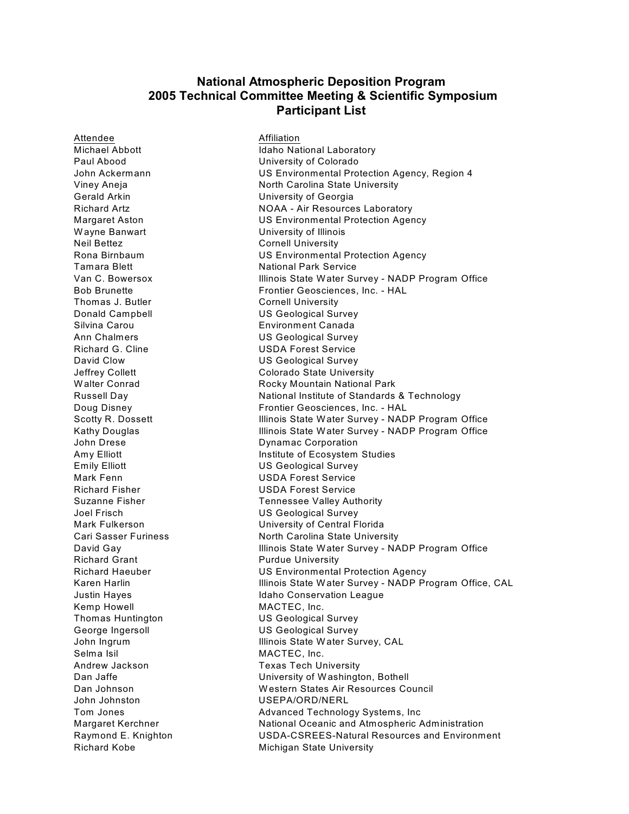#### **National Atmospheric Deposition Program 2005 Technical Committee Meeting & Scientific Symposium Participant List**

Attendee **Attendee** Affiliation Paul Abood University of Colorado Gerald Arkin University of Georgia Wayne Banwart **Wayne Banwart** University of Illinois Neil Bettez Cornell University Tamara Blett National Park Service Thomas J. Butler Cornell University Donald Campbell US Geological Survey Silvina Carou **Environment Canada** Ann Chalmers **National Survey** US Geological Survey Richard G. Cline USDA Forest Service David Clow US Geological Survey John Drese **Dynamac Corporation** Emily Elliott US Geological Survey Mark Fenn USDA Forest Service Richard Fisher USDA Forest Service Joel Frisch US Geological Survey Richard Grant **Purdue University** Kemp Howell MACTEC, Inc. Thomas Huntington US Geological Survey George Ingersoll **Contact COVID SECONOM** US Geological Survey Selma Isil MACTEC, Inc. Andrew Jackson Texas Tech University John Johnston USEPA/ORD/NERL

Michael Abbott **Idaho National Laboratory** John Ackermann US Environmental Protection Agency, Region 4 Viney Aneja North Carolina State University Richard Artz **NOAA - Air Resources Laboratory** Margaret Aston US Environmental Protection Agency Rona Birnbaum US Environmental Protection Agency Van C. Bowersox Illinois State Water Survey - NADP Program Office Bob Brunette Frontier Geosciences, Inc. - HAL Jeffrey Collett Colorado State University Walter Conrad **Rocky Mountain National Park** Russell Day National Institute of Standards & Technology Doug Disney Frontier Geosciences, Inc. - HAL Scotty R. Dossett **Illinois State Water Survey - NADP Program Office** Kathy Douglas **Illinois State Water Survey - NADP Program Office** Amy Elliott **Institute of Ecosystem Studies** Suzanne Fisher Tennessee Valley Authority Mark Fulkerson University of Central Florida Cari Sasser Furiness North Carolina State University David Gay **Illinois State Water Survey - NADP Program Office** Richard Haeuber US Environmental Protection Agency Karen Harlin **Illinois State Water Survey - NADP Program Office, CAL** Justin Hayes **In the Internal Conservation League** John Ingrum **Illinois State Water Survey, CAL** Dan Jaffe **Dan Jaffe** University of Washington, Bothell Dan Johnson W estern States Air Resources Council Tom Jones **Advanced Technology Systems**, Inc Margaret Kerchner **National Oceanic and Atmospheric Administration** Raymond E. Knighton USDA-CSREES-Natural Resources and Environment Richard Kobe Michigan State University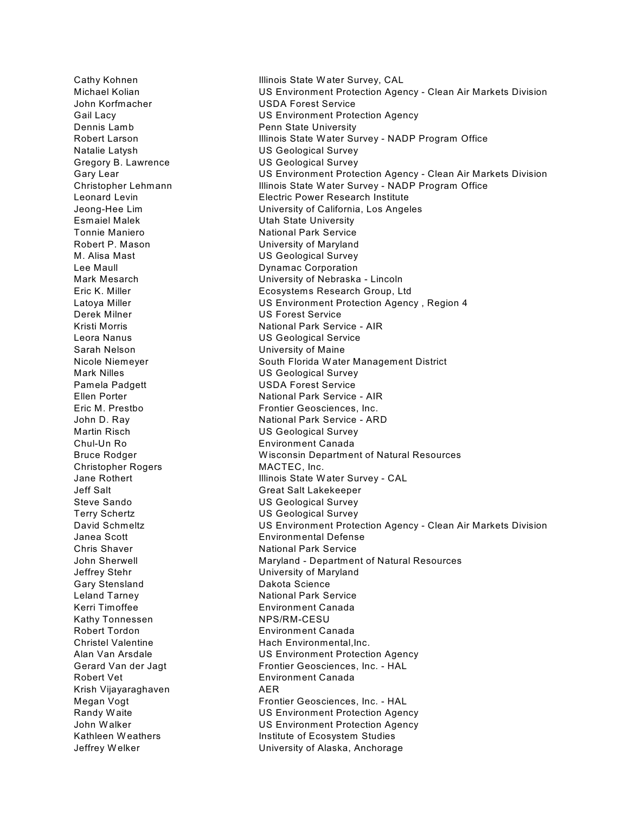Cathy Kohnen **Illinois State Water Survey, CAL** John Korfmacher USDA Forest Service Dennis Lamb **Penn** State University Natalie Latysh US Geological Survey Gregory B. Lawrence US Geological Survey Esmaiel Malek **National Example 2** Utah State University Tonnie Maniero **National Park Service** Robert P. Mason University of Maryland M. Alisa Mast US Geological Survey Lee Maull **Lee Maull Dynamac Corporation** Derek Milner US Forest Service Leora Nanus US Geological Service Sarah Nelson **University of Maine** Mark Nilles **Mark Nilles** US Geological Survey Pamela Padgett USDA Forest Service Martin Risch US Geological Survey Chul-Un Ro Environment Canada Christopher Rogers MACTEC, Inc. Jeff Salt Great Salt Lakekeeper Steve Sando **US Geological Survey** Terry Schertz US Geological Survey Janea Scott Environmental Defense Chris Shaver **National Park Service** Jeffrey Stehr University of Maryland Gary Stensland Dakota Science Leland Tarney **National Park Service** Kerri Timoffee Environment Canada Kathy Tonnessen NPS/RM-CESU Robert Tordon **Environment Canada** Robert Vet **Environment Canada** Krish Vijayaraghaven AER

Michael Kolian US Environment Protection Agency - Clean Air Markets Division Gail Lacy **Cancer Contract Contract US Environment Protection Agency** Robert Larson **Illinois State Water Survey - NADP Program Office** Gary Lear **Network** US Environment Protection Agency - Clean Air Markets Division Christopher Lehmann Illinois State Water Survey - NADP Program Office Leonard Levin Electric Power Research Institute Jeong-Hee Lim University of California, Los Angeles Mark Mesarch University of Nebraska - Lincoln Eric K. Miller Ecosystems Research Group, Ltd Latoya Miller US Environment Protection Agency , Region 4 Kristi Morris National Park Service - AIR Nicole Niemeyer South Florida Water Management District Ellen Porter **National Park Service - AIR**<br>Eric M. Prestbo **National Park Service - AIR** Frontier Geosciences. Inc. Frontier Geosciences, Inc. John D. Ray National Park Service - ARD Bruce Rodger W isconsin Department of Natural Resources Jane Rothert **Illinois State Water Survey - CAL** David Schmeltz **Nation 2018** US Environment Protection Agency - Clean Air Markets Division John Sherwell **Maryland - Department of Natural Resources** Christel Valentine **Hach Environmental, Inc.** Alan Van Arsdale US Environment Protection Agency Gerard Van der Jagt Frontier Geosciences, Inc. - HAL Megan Vogt **Frontier Geosciences**, Inc. - HAL Randy Waite **National Community Contracts** US Environment Protection Agency John Walker **National Community Community** US Environment Protection Agency Kathleen Weathers **Institute of Ecosystem Studies** Jeffrey W elker University of Alaska, Anchorage